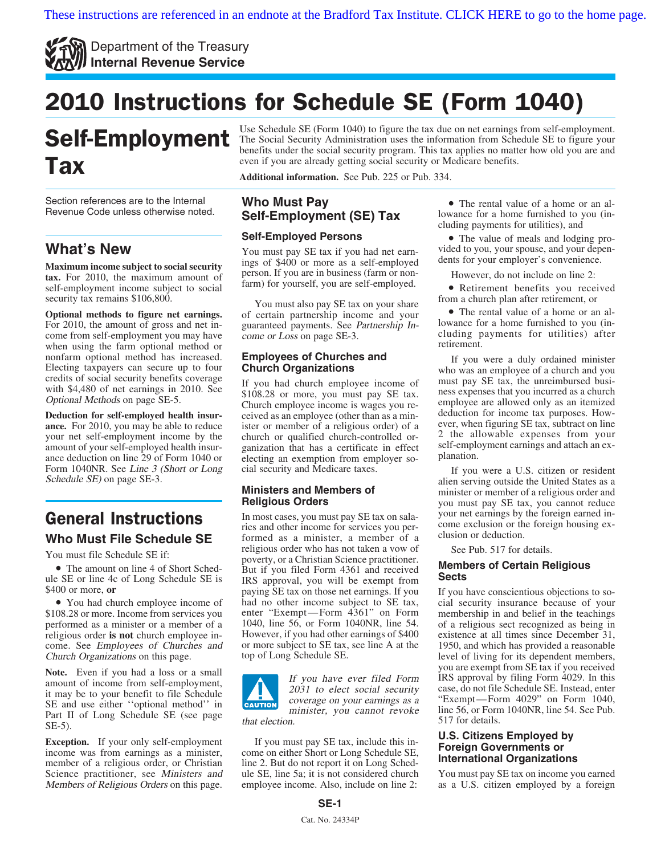

Department of the Treasury **Internal Revenue Service**

### 2010 Instructions for Schedule SE (Form 1040)

# **EX** even if you are already getting social security or Medicare benefits.<br>Additional information. See Pub. 225 or Pub. 334.

Section references are to the Internal **Who Must Pay •** The rental value of a home or an al-<br>Revenue Code unless otherwise noted. **Self-Employment (SF) Tax** lowance for a home furnished to you (in-

**tax.** For 2010, the maximum amount of person. If you are in business (farm or non-<br>self-employment income subject to social farm) for yourself, you are self-employed. <br>externess the Retirement benefits you received

**Optional methods to figure net earnings.** of certain partnership income and your The rental value of a home or an al-<br>For 2010, the amount of gross and net in-<br>guaranteed payments. See *Partnership In*-<br>lowance for a home For 2010, the amount of gross and net in-<br>come or Loss on page SE-3<br>come grading payments for utilities) after<br>come from self-employment you may have<br>come or Loss on page SE-3 come from self-employment you may have come or Loss on page SE-3. Cluding p<br>when using the farm optional method or when using the farm optional method or

ance deduction on line 29 of Form 1040 or electing an exemption from employer so-<br>Form 1040NR. See Line  $\frac{3}{5}$  (Short or Long cial security and Medicare taxes.

• The amount on line 4 of Short Sched-

• You had church employee income of Church Organizations on this page. top of Long Schedule SE. level of living for its dependent members,

Note. Even if you had a loss or a small<br>amount of income from self-employment,<br>it may be to your benefit to file Schedule<br>SE and use either "optional method" in<br>Part II of Long Schedule SE (see page<br>Be-5).<br>SE-5).<br>The state

Self-Employment Use Schedule SE (Form 1040) to figure the tax due on net earnings from self-employment.<br>Self-Employment The Social Security Administration uses the information from Schedule SE to figure your benefits under the social security program. This tax applies no matter how old you are and

### **Self-Employment (SE) Tax**

**Maximum income subject to social security** ings of \$400 or more as a self-employed dents for your employer's convenience.<br> **Maximum** income subject to social security ings of \$400 or more as a self-employed dents for your

security tax remains \$106,800.<br> **Solutional methods to figure net earnings.** For of certain partnership income and your **France of a contract of a home or an al-**

Deduction for self-employed health insur-<br>Deduction for self-employed health insur-<br>ance. For 2010, you may be able to reduce ister or member of a religious order) of a ever, when figuring SE tax, subtract on line **ance.** For 2010, you may be able to reduce ister or member of a religious order) of a ever, when figuring SE tax, subtract on line your net self-employment income by the church or qualified church-controlled or-  $\frac{2}{2}$ your net self-employment income by the church or qualified church-controlled or-<br>amount of your self-employed health insur-<br>ance deduction on line 29 of Form 1040 or<br>electing an exemption from employer so-<br>planation.

Feligious order who has not taken a vow of See Pub. 517 for details.<br>
• Pre amount on line 4 of Short Schedule See Pub. See Pub. 517 for details.<br>
• The amount on line 4 of Short Schedule Put if you filed Form 4361 and re • The amount on line 4 of Short Sched-<br>
But if you filed Form 4361 and received<br>
Sects<br>
For the 4c of Long Schedule SE is<br>
For the amount on the 4c of Long Schedule SE is<br>
For the exempt from<br>
Sects<br>
For the exempt from<br>
S had no other income subject to SE tax, cial security insurance because of your enter "Exempt—Form 4361" on Form membership in and belief in the teachings \$108.28 or more. Income from services you enter "Exempt—Form 4361" on Form membership in and belief in the teachings performed as a minister or a member of a 1040, line 56, or Form 1040NR, line 54. of a religious sect reco performed as a minister or a member of a 1040, line 56, or Form 1040NR, line 54. of a religious sect recognized as being in religious order is not church employee in-<br>However, if you had other earnings of \$400 existence at religious order is not church employee in-<br>come. See Employees of Churches and or more subject to SE tax, see line A at the come. See Employees of Churches and or more subject to SE tax, see line A at the 1950, and which has provided a reasonable Church Organizations on this page. top of Long Schedule SE.



**Exception.** If your only self-employment If you must pay SE tax, include this in-<br>income was from earnings as a minister, come on either Short or Long Schedule SE, **Foreign Governments or**<br>member of a religious order, or

cluding payments for utilities), and

**Self-Employed Persons** • The value of meals and lodging pro-**What's New**<br>
You must pay SE tax if you had net earn-<br>
You fings of \$400 or more as a self-employed dents for your employer's convenience.

monfarm optional method has increased.<br>
Electing taxpayers can secure up to four<br>
credits of social security benefits coverage<br>
with \$4,480 of net earnings in 2010. See The secure of the set of social security benefits cov

Form 1040NR. See *Line 3 (Short or Long* cial security and Medicare taxes. If you were a U.S. citizen or resident<br>Schedule SE) on page SE-3. **Ministers and Members of Ministers and Members of Religious Orders Conduct General Instructions** In most cases, you must pay SE tax on sala-<br>The sand other income for services you per-<br>Who Must File Schedule SE formed as a minister, a member of a clusion or deduction.

Science practitioner, see *Ministers and* ule SE, line 5a; it is not considered church You must pay SE tax on income you earned Members of Religious Orders on this page. employee income. Also, include on line 2: as a U.S. citizen employed by a foreign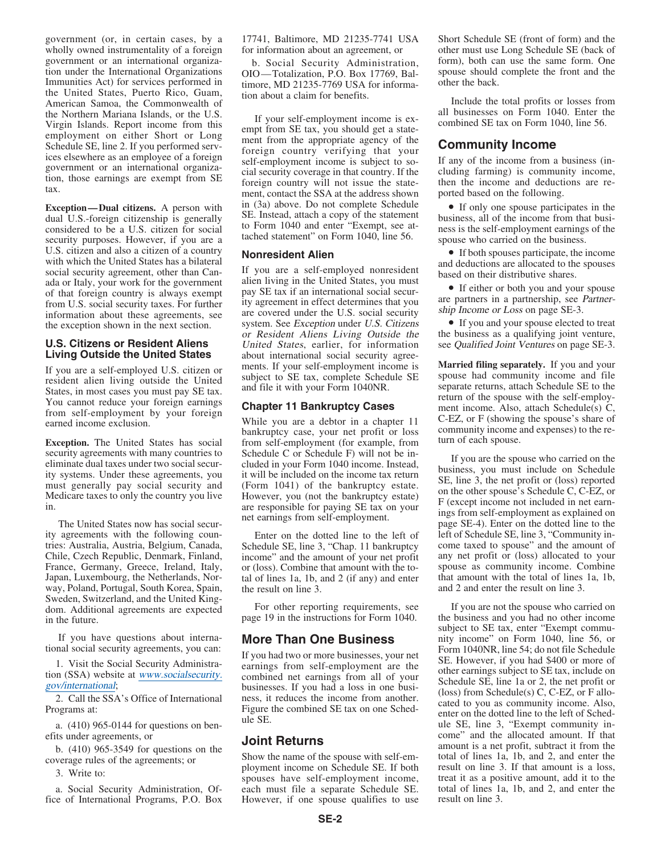government (or, in certain cases, by a 17741, Baltimore, MD 21235-7741 USA Short Schedule SE (front of form) and the wholly owned instrumentality of a foreign for information about an agreement, or other must use Long Schedule SE (back of government or an international organiza-<br>tion under the International Organizations of OIO—Totalization, P.O. Box 17769, Bal-<br>spouse should complete the front and the tion under the International Organizations  $OIO$ —Totalization, P.O. Box 17769, Bal-<br>Immunities Act) for services performed in timore MD 21235-7769 USA for information the back. Immunities Act) for services performed in timore, MD 21235-7769 USA for informa-<br>the United States, Puerto Rico, Guam, tion about a claim for benefits.<br>American Samoa, the Commonwealth of the United States of the United St American Samoa, the Commonwealth of Include the total profits or losses from<br>
the Northern Mariana Islands or the U.S. all businesses on Form 1040. Enter the Virgin Islands, Report income from this<br>
employment on either Short or Long<br>
Schedule SE, line 2. If you performed serves the employment from SE tax, you should get a state-<br>
Schedule SE, line 2. If you performed serv-<br>
Sc

**Exception—Dual citizens.** A person with  $\begin{array}{c} \text{in (3a) above. Do not complete Schedule} \\ \text{dual U.S.-foreign citizenship is generally} \\ \text{considered to be a U.S. citizen for social \\ \text{security purposes. However, if you are a} \end{array}$ <br>B. Instead, attach a copy of the statement business, all of the income from that busi-<br>considered to be a U.S. citizen and also a citizen of a country<br>with which the United States has a bilateral<br>social security agreement, other than Can-<br>social security agreement, other than Can-<br>If you are a self-employed nonresident and ded

ity agreements with the following coun-<br>tries: Australia, Austria, Belgium, Canada, Schedule SE, line 3, "Chap, 11 bankruptcy come taxed to spouse" and the amount of tries: Australia, Austria, Belgium, Canada, Schedule SE, line 3, "Chap. 11 bankruptcy come taxed to spouse" and the amount of Chile, Czech Republic, Denmark, Finland, income" and the amount of your net profit any net profi Chile, Czech Republic, Denmark, Finland, income" and the amount of your net profit any net profit or (loss) allocated to your France, Germany, Greece, Ireland, Italy, or (loss). Combine that amount with the to-<br>
spouse as Japan, Luxembourg, the Netherlands, Nor-<br>way, Poland, Portugal, South Korea, Spain, the result on line 3.<br>and 2 and enter the result on line 3. way, Poland, Portugal, South Korea, Spain, the result on line 3.<br>Sweden, Switzerland, and the United King-Sweden. Additional agreements are expected For other reporting requirements, see If you are not the spouse who carried on page 19 in the instructions for Form 1040. the business and you had no other income in page 19 in the instructions for Form 1040. the business and you had no other income in the future.

fice of International Programs, P.O. Box However, if one spouse qualifies to use

tion, those earnings are exempt from SE foreign country will not issue the state-<br>then the income and deduct the SSA at the address shown ported based on the following.

social security agreement, other than Can-<br>ada or Italy, your work for the government alien living in the United States, you must<br>of that foreign country is always exempt pay SE tax if an international social secur-<br>an act of that foreign country is always exempt<br>from U.S. social security taxes. For further ity agreement in effect determines that you<br>information about these agreements, see are covered under the U.S. social security<br>informati information about these agreements, see are covered under the U.S. social security<br>
the exception shown in the next section.<br> **U.S. Citizens** or Resident Aliens<br>
U.S. Citizens or Resident Aliens<br>
U.S. Citizens or Resident about international social security agree-

**Exception.** The United States has social transference of the United States has social from self-employment (for example, from turn of each spouse.

or (loss). Combine that amount with the to-

ployment income on Schedule SE. If both result on line 3. If that amount is a loss,<br>3. Write to:<br>3. Write to:<br>3. Write to:<br>3. Write to:<br>3. Write to:<br>3. Write to: spouses have self-employment income, treat it as a positive amount, add it to the each must file a separate Schedule SE. total of lines 1a, 1b, and 2, and enter the a. Social Security Administration, Of-<br>
Second Leach must file a separate Schedule SE. total of lines 1a, 1<br>
i. and 2, and 2, and 2, and 2, and 2, and 2, and 1 and 2, and 1 and 2, and 1 and 2, and 1 and 2, and 1 and 2,<br>  $\$ 

If you are a self-employed U.S. citizen or<br>
resident alien living outside the United<br>
States, in most cases you must pay SE tax.<br>
You cannot reduce your foreign earnings<br>
From self-employment by your foreign<br>
From self-emp

Schedule C or Schedule F) will not be in-<br>
eliminate dual taxes under two social securi-<br>
ity systems. Under these agreements, you it will be included on the income. Instead,<br>
ity systems. Under these agreements, you it wi

subject to SE tax, enter "Exempt commu-If you have questions about interna- **More Than One Business** nity income" on Form 1040, line 56, or 1. Visit the Social Security Administrational<br>
1. Visit the Social Security Administrational<br>
1. Visit the Social Security Administra-<br>
1. Visit the Social Security Administra-<br>
2. Call the SSA's Office of International<br>
2 a. (410) 965-0144 for questions on ben-<br>tis under agreements, or **ule SE**, line 3, "Exempt community in-<br>tis under agreements, or Example its under agreements, or<br>
b. (410) 965-3549 for questions on the<br>
coverage rules of the agreements; or<br>
Show the name of the spouse with self-em-<br>
Show the name of the spouse with self-em-<br>
total of lines 1a, 1b, a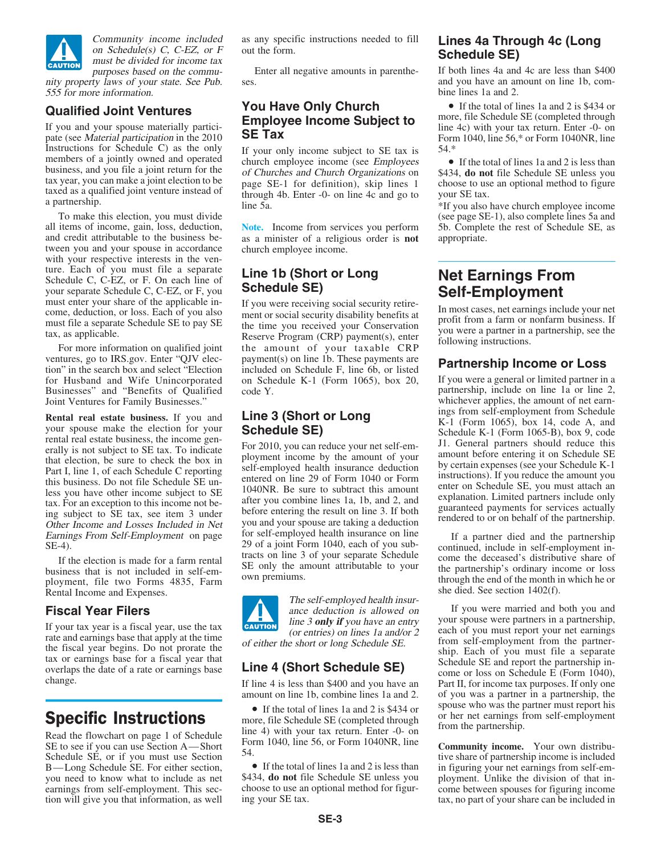

nity property laws of your state. See Pub. ses. 555 for more information. bine lines 1a and 2.

pate (see *Material participation* in the 2010 **SE TAX** Form 1040, line 56,\* or Form 1040NR, line Instructions for Schedule C) as the only If your only income subject to SE tax is 54.\* Instructions for Schedule C) as the only If your only income subject to SE tax is 54.\*<br>members of a jointly owned and operated church employee income (see Employees

all items of income, gain, loss, deduction, **Note.** Income from services you perform 5b. Complete the rest of Schedule SE, as and credit attributable to the business be- as a minister of a religious order is **not** appropriate. tween you and your spouse in accordance church employee income. with your respective interests in the venture. Each of you must file a separate Example 15 a separate **Line 1b (Short or Long and Schedule C, C-EZ**, or F. On each line of **Line 1b (Short or Long and Schedule C arnings From**<br>
vour separate Schedule C, C-EZ, or F, you **Schedule SE**) **Short C, Salf-Emplo** Solution of the amount of your separate Schedule C, C-EZ, or F, you<br>
must enter your separate Schedule C, C-EZ, or F, you<br>
must enter your share of the applicable in-<br>
must file a separate Schedule SE to pay SE<br>
must file

Businesses" and "Benefits of Qualified code Y.

your spouse make the election for your<br>
rental real estate business, the income gen-<br>
rental real estate business, the income gen-<br>
rental real estate business, the income gen-<br>
rental real estate business, the income gen-Less you have other income subject to SE<br>tax. For an exception to this income not be-<br>ing subject to SE tax, see item 3 under<br>Other Income and Losses Included in Net you and your spouse are taking a deduction<br>Other Income

business that is not included in self-em-<br>ployment, file two Forms 4835, Farm own premiums.<br>Rental Income and Expenses over premiums.<br>Rental Income and Expenses Rental Income and Expenses.

B—Long Schedule SE. For either section, <br>vou need to know what to include as net \$434, **do not** file Schedule SE unless you ployment. Unlike the division of that inyou need to know what to include as net \$434, **do not** file Schedule SE unless you ployment. Unlike the division of that in-<br>earnings from self-employment. This sec-<br>choose to use an optional method for figur-<br>come between tion will give you that information, as well ing your SE tax. The star, no part of your share can be included in

members of a jointly owned and operated church employee income (see Employees • If the total of lines 1a and 2 is less than business, and you file a joint return for the  $\sigma f$  Churches and Church Organizations on  $\frac{1}{4}$ business, and you file a joint return for the of Churches and Church Organizations on that sear, you can make a joint election to be page SE-1 for definition), skip lines 1 choose to use an optional method to figure throug taxed as a qualitied joint venture instead of through 4b. Enter -0- on line 4c and go to your SE tax.<br>a partnership.<br>To make this election, you must divide (see page SE-1), also complete lines 5a and

ventures, go to IRS.gov. Enter "QJV elec-<br>
tion" in the search box and select "Election included on Schedule F, line 6b, or listed **Partnership Income or Loss**<br>
for Husband and Wife Unincorporated on Schedule K-1 (Form 106 for Husband and Wife Unincorporated on Schedule K-1 (Form 1065), box 20, If you were a general or limited partner in a<br>Businesses" and "Benefits of Oualified code Y.

Earnings From Self-Employment on page for self-employed health insurance on line If a partner died and the partnership SE-4).<br>SE-4). SE-4).<br>
If the election is made for a farm rental<br>
If the election is made for a farm rental<br>
If the election is made for a farm rental<br>
SE only the amount attributable to your<br>
SE only the amount attributable to your<br>
the



The self-employed health insur-

amount on line 1b, combine lines 1a and 2. of you was a partner in a partnership, the

**Specific Instructions**<br>
Read the flowchart on page 1 of Schedule<br>
SE to see if you can use Section A—Short<br>
Schedule SE, or if you must use Section<br>
Section 4. Section 54.<br>
Schedule SE, or if you must use Section 54.

choose to use an optional method for figuring your SE tax.

## Community income included as any specific instructions needed to fill **Lines 4a Through 4c (Long** on *Schedule(s) C, C-EZ, or F* out the form. **Schedule SE) Schedule SE**

purposes based on the commu-<br>ty laws of your state. See Pub. ses.<br>and you have an amount on line 1b, com-

**Qualified Joint Ventures**<br> **SE Tax**<br> **SE Tax**<br> **SE Tax**<br> **SE Tax**<br> **SE Tax**<br> **SE Tax**<br> **SE Tax**<br> **SE Tax**<br> **SE Tax**<br> **SE Tax**<br> **SE Tax**<br> **SE Tax**<br> **SE Tax**<br> **SE Tax**<br> **SE Tax**<br> **SE Tax**<br> **SE Tax**<br> **SE Tax**<br> **SE Tax**<br> **SE** 

(see page SE-1), also complete lines 5a and

Joint Ventures for Family Businesses."<br> **Line 2 (Short or Long Line 1998)** whichever applies, the amount of net earn-<br>
Integrated and the **2 (Short or Long** Long Line **ings from self-employment from Schedule Figure 3.1** Schedule **Rental real estate business.** If you and **Line 3 (Short or Long** K-1 (Form 1065), box 14, code A, and your spouse make the election for your **Schedule SE)** 

**Fiscal Year Filers** and the anti-term and the state of the anti-term of the state of the state of the state of the state of the state of the state of the state of the state of the state of the state of the state of the st If your tax year is a fiscal year, use the tax<br>
the fiscal year, use the tax<br>
the fiscal year begins. Do not prorate the<br>
the fiscal year begins. Do not prorate the<br>
tax or earnings base for a fiscal year that<br>
overlaps th • If the total of lines 1a and 2 is \$434 or spouse who was the partner must report his  $\frac{1}{2}$  or  $\frac{1}{2}$  file Sebedule SE (completed through or her net earnings from self-employment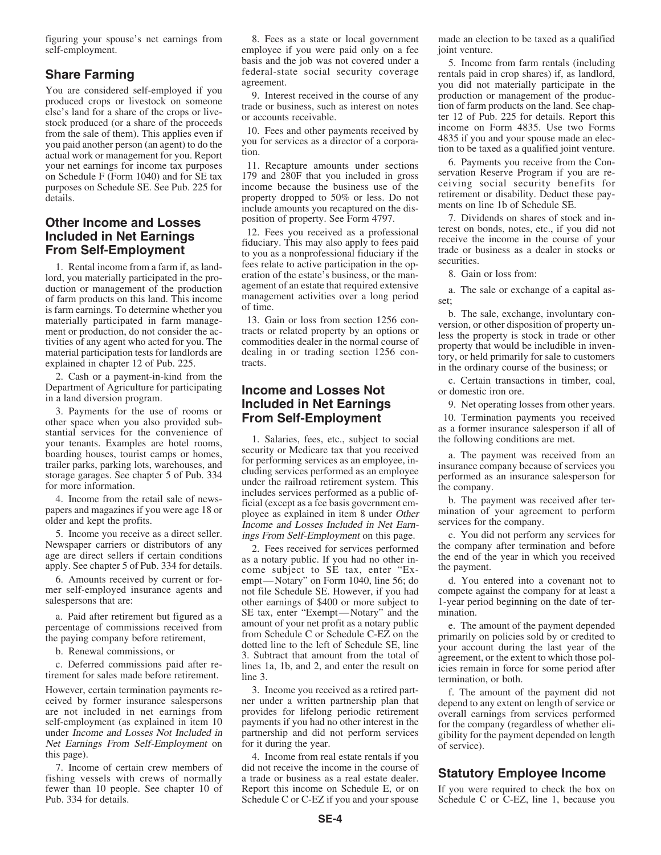figuring your spouse's net earnings from 8. Fees as a state or local government made an election to be taxed as a qualified self-employment. employee if you were paid only on a fee joint venture.

You are considered self-employed if you<br>
produced crops or livestock on someone<br>
else's land for a share of the crops or livestock on someone<br>
else's land for a share of the crops or live-<br>
stock produced (or a share of th

duction or management of the production<br>of farm products on this land. This income<br>is farm earnings. To determine whether you<br>materially participated in farm management activities over a long period<br>materially participated

5. Income you receive as a direct seller. ings From Self-Employment on this page. c. You did not perform any services for Newspaper carriers or distributors of any  $\sigma$  Fees received for services performed the company afte

However, certain termination payments re-<br>
ceived by former insurance salespersons<br>
are not included in net earnings from<br>
self-employment (as explained in item 10<br>
werall earnings from services performed<br>
self-employment

7. Income of certain crew members of did not receive the income in the course of **Statutory Employee Income** fishing vessels with crews of normally a trade or business as a real estate dealer. fewer than 10 people. See chapter 10 of Report this income on Schedule E, or on If you were required to check the box on Pub. 334 for details. Schedule C or C-EZ if you and your spouse Schedule C or C-EZ, line 1, because you

basis and the job was not covered under a 5. Income from farm rentals (including federal-state social security coverage rentals paid in crop shares) if, as landlord,

purposes on Schedule SE. See Pub. 225 for<br>details.<br>details.<br>**Change of Schedule SE.**<br>**Change of Location** of property. See Form 4797.<br>**Change of Schedule SE.**<br>7. Dividends on shares of stock and in-

**Other Income and Losses** position of property. See Form 4797.<br> **Included in Net Earnings** 12. Fees you received as a professional terest on bonds, notes, etc., if you did not<br> **From Self-Employment** to you as a nonprofess

2. Cash or a payment-in-kind from the<br>
Department of Agriculture for participating<br>
in a land diversion program.<br>
2. Payments for the use of rooms or<br>
in a land diversion program.<br>
3. Payments for the use of rooms or<br>
the papers and magazines in you were age 18 or<br>older and kept the profits. Income and Losses Included in Net Earn-<br>services for the company.

Examplement and before the company after termination and before are direct sellers if certain conditions<br>apply. See chapter 5 of Pub. 334 for details.<br>6. Amounts received by current or for-<br>the payment.<br>6. Amounts received 6. Amounts received by current or for-<br>
empt—Notary" on Form 1040, line 56; do d. You entered into a covenant not to<br>
one self-employed insurance agents and not file Schedule SE. However, if you had compete against the com mer self-employed insurance agents and not file Schedule SE. However, if you had compete against the company for at least a salespersons that are:<br>subject to 1-year period beginning on the date of terother earnings of \$400 or more subject to SE tax, enter "Exempt—Notary" and the a. Paid after retirement but figured as a SE tax, enter "Exempt—Notary" and the mination.<br>
street tage of commissions received from amount of your net profit as a notary public e. The amount of the payment depended percentage of commissions received from amount or your net profit as a notary public e. The amount of the payment depended<br>the paying company before retirement. from Schedule C or Schedule C-EZ on the paymarily on policies

**Share Farming** federal-state social security coverage rentals paid in crop shares) if, as landlord, agreement.

the paying company before retirement,<br>
b. Renewal commissions, or<br>
c. Deferred commissions paid after re-<br>
tirement for sales made before retirement.<br>
dotted line to the left of Schedule SE, line<br>
3. Subtract that amount f